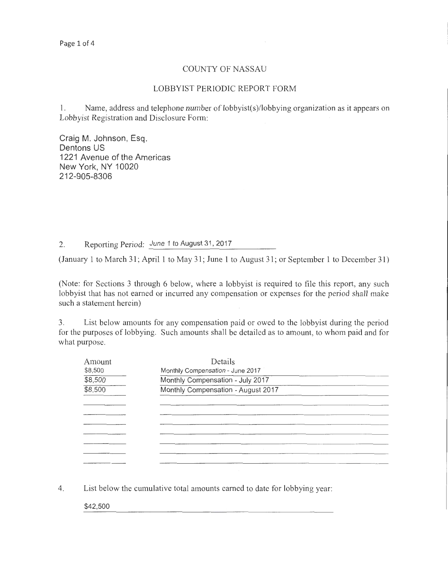## COUNTY OF NASSAU

#### LOBBYIST PERIODIC REPORT FORM

1. Name, address and telephone number of lobbyist(s)/lobbying organization as it appears on Lobbyist Registration and Disclosure Fonn:

Craig M. Johnson, Esq. Dentons US 1221 Avenue of the Americas New York, NY 10020 212-905-8306

2. Reporting Period: June 1 to August 31, 2017

(January 1 to March 31; April 1 to May 31; June 1 to August 31; or September 1 to December 31)

(Note: for Sections 3 through 6 below, where a lobbyist is required to file this report, any such lobbyist that has not earned or incurred any compensation or expenses for the period shall make such a statement herein)

3. List below amounts for any compensation paid or owed to the lobbyist during the period for the purposes of lobbying. Such amounts shall be detailed as to amount, to whom paid and for what purpose.

| Amount  | Details                            |  |  |  |
|---------|------------------------------------|--|--|--|
| \$8,500 | Monthly Compensation - June 2017   |  |  |  |
| \$8,500 | Monthly Compensation - July 2017   |  |  |  |
| 38,500  | Monthly Compensation - August 2017 |  |  |  |
|         |                                    |  |  |  |
|         |                                    |  |  |  |
|         |                                    |  |  |  |
|         |                                    |  |  |  |
|         |                                    |  |  |  |
|         |                                    |  |  |  |
|         |                                    |  |  |  |

4. List below the cumulative total amounts earned to date for lobbying year:

\$42,500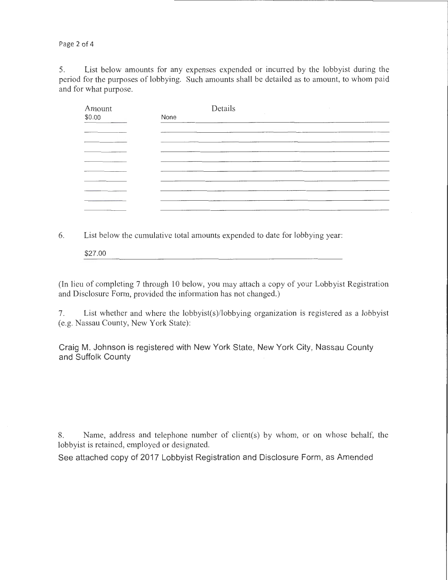Page 2 of 4

5. List below amounts for any expenses expended or incurred by the lobbyist during the period for the purposes of lobbying. Such amounts shall be detailed as to amount, to whom paid and for what purpose.

| Amount                                                                                                                 | Details                                                                                                                                                                                                                              |
|------------------------------------------------------------------------------------------------------------------------|--------------------------------------------------------------------------------------------------------------------------------------------------------------------------------------------------------------------------------------|
| \$0.00                                                                                                                 | None<br>_____                                                                                                                                                                                                                        |
|                                                                                                                        |                                                                                                                                                                                                                                      |
| <u> London a componente de la componente de la componente de la componente de la componente de la componente de la</u> |                                                                                                                                                                                                                                      |
|                                                                                                                        | the contract of the contract of the contract of the contract of the contract of the contract of the contract of                                                                                                                      |
|                                                                                                                        |                                                                                                                                                                                                                                      |
|                                                                                                                        |                                                                                                                                                                                                                                      |
|                                                                                                                        | <u>in the second contract of the contract of the contract of the contract of the contract of the contract of the contract of the contract of the contract of the contract of the contract of the contract of the contract of the</u> |
|                                                                                                                        | the contract of the contract of the contract of the contract of the contract of the contract of the contract of                                                                                                                      |
|                                                                                                                        |                                                                                                                                                                                                                                      |
|                                                                                                                        |                                                                                                                                                                                                                                      |

6. List below the cumulative total amounts expended to date for lobbying year:

\$27.00

(In lieu of completing 7 through 10 below, you may attach a copy of your Lobbyist Registration and Disclosure Form, provided the information has not changed.)

7. List whether and where the lobbyist(s)/lobbying organization is registered as a lobbyist (e.g. Nassau County, New York State):

Craig M. Johnson is registered with New York State, New York City, Nassau County and Suffolk County

8. Name, address and telephone number of client(s) by whom, or on whose behalf, the lobbyist is retained, employed or designated.

See attached copy of 2017 Lobbyist Registration and Disclosure Form, as Amended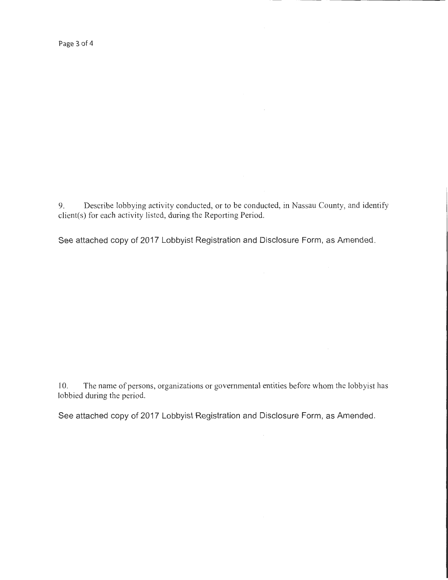Page 3 of 4

9. Describe lobbying activity conducted, or to be conducted, in Nassau County, and identify client(s) for each activity listed, during the Reporting Period.

See attached copy of 2017 Lobbyist Registration and Disclosure Form, as Amended.

10. The name of persons, organizations or governmental entities before whom the lobbyist has lobbied during the period.

See attached copy of 2017 Lobbyist Registration and Disclosure Form, as Amended.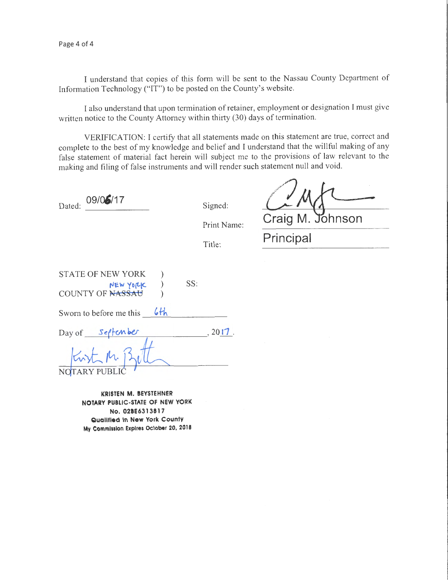Page 4 of 4

I understand that copies of this form will be sent to the Nassau County Department of Information Technology ("IT") to be posted on the County's website.

I also understand that upon termination of retainer, employment or designation I must give written notice to the County Attorney within thirty (30) days of termination.

VERIFICATION: I certify that all statements made on this statement are true, correct and complete to the best of my knowledge and belief and I understand that the willful making of any false statement of material fact herein will subject me to the provisions of law relevant to the making and filing of false instruments and will render such statement null and void.

Dated: 09/05/17 Signed:

Print Name:

Title:

*<u>2</u> <u>M</u><br>Craig M. Johnson* **Principal** 

| <b>STATE OF NEW YORK</b><br>NEW YORK<br>COUNTY OF NASSAU | SS: |  |
|----------------------------------------------------------|-----|--|
|                                                          |     |  |

Sworn to before me this 6<sup>th</sup>

| Day of | Settember | .2017 |
|--------|-----------|-------|
|        |           |       |

**KRISTEN M. BEYSTEHNER NOTARY PUBLIC-STATE OF NEW YORK No. 02BE631381 7 Qualified In New York County My Commission Expires October 20, 2018**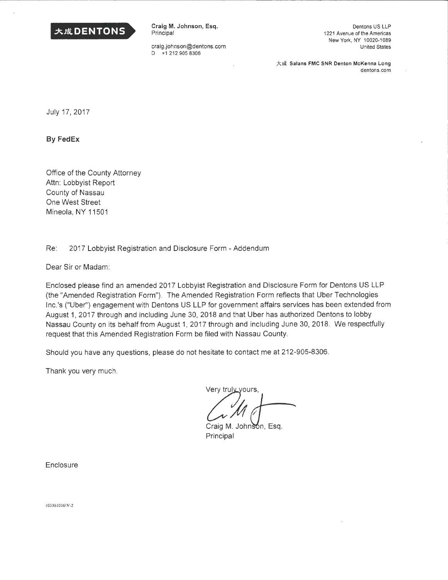

Craig M. Johnson, Esq. Principal

craig.johnson@dentons.com D +1 212 905 8306

Dentons US LLP 1221 Avenue of the Americas New York, NY 10020-1089 United States

大成 Salans FMC SNR Denton McKenna Long dentons.com

July 17, 2017

~-- --

**By FedEx** 

Office of the County Attorney Attn: Lobbyist Report County of Nassau One West Street Mineola, NY 11501

Re: 2017 Lobbyist Registration and Disclosure Form - Addendum

Dear Sir or Madam:

Enclosed please find an amended 2017 Lobbyist Registration and Disclosure Form for Dentons US LLP (the "Amended Registration Form"). The Amended Registration Form reflects that Uber Technologies Inc.'s ("Uber") engagement with Dentons US LLP for government affairs services has been extended from August 1, 2017 through and including June 30, 2018 and that Uber has authorized Dentons to lobby Nassau County on its behalf from August 1, 2017 through and including June 30, 2018. We respectfully request that this Amended Registration Form be filed with Nassau County.

Should you have any questions, please do not hesitate to contact me at 212-905-8306.

Thank you very much.

Very truly yours,

 $\frac{1}{10}$ 

Craig M. Johnson, Esq. Principal

**Enclosure** 

1033610 16\V-2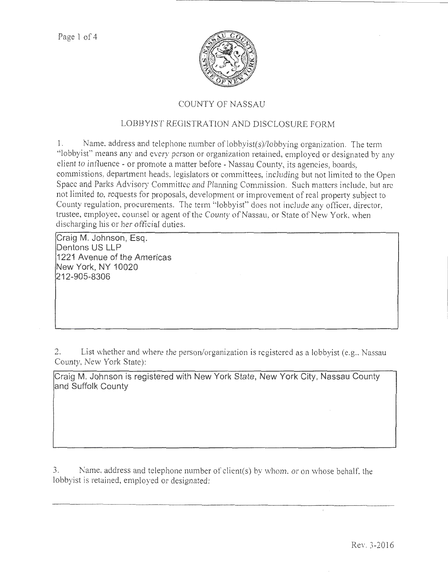

# COUNTY OF NASSAU

# LOBBYIST REGISTRATION AND DISCLOSURE FORM

1. Name. address and telephone number of lobbyist(s)/lobbying organization. The term "lobbyist" means any and every person or organization retained, employed or designated by any client to intluence - or promote a matter before -Nassau County, its agencies, boards, commissions, department heads, legislators or committees, including but not limited to the Open Space and Parks Advisory Committee and Planning Commission. Such matters include, but arc not limited to, requests for proposals, development or improvement of real property subject to County regulation, procurements. The term "lobbyist" does not include any officer, director, trustee, employee, counsel or agent of the County of Nassau, or State of New York, when discharging his or her official duties.

**Craig M. Johnson, Esq. Dentons US LLP 1221 Avenue of the Americas New York, NY 10020 212-905-8306** 

2. List whether and where the person/organization is registered as a lobbyist (e.g., Nassau County, New York State):

**Craig M. Johnson is registered with New York State, New York City, Nassau County and Suffolk County** 

3. Name. address and telephone number of client(s) by whom. or on whose behalf. the lobbyist is retained, employed or designated: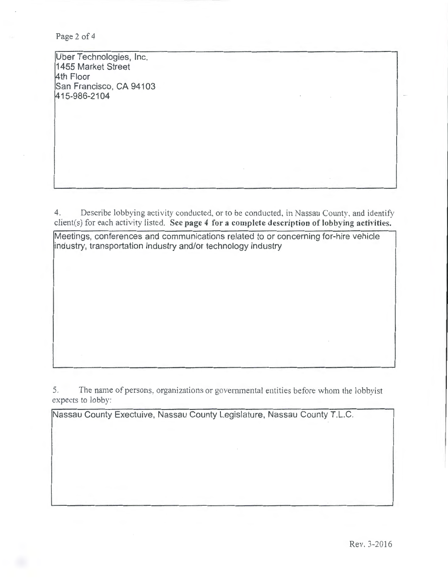Page 2 of 4

Uber Technologies, Inc. 1455 Market Street 4th Floor San Francisco, CA 94103 415-986-2104

4. Describe lobbying activity conducted, or to be conducted, in Nassau County. and identify client(s) for each activity listed. See page 4 for a complete description of lobbying activities.

Meetings, conferences and communications related to or concerning for-hire vehicle industry, transportation industry and/or technology industry

5. The name of persons, organizations or governmental entities before whom the lobbyist expects to lobby:

Nassau County Exectuive, Nassau County Legislature, Nassau County T.L.C.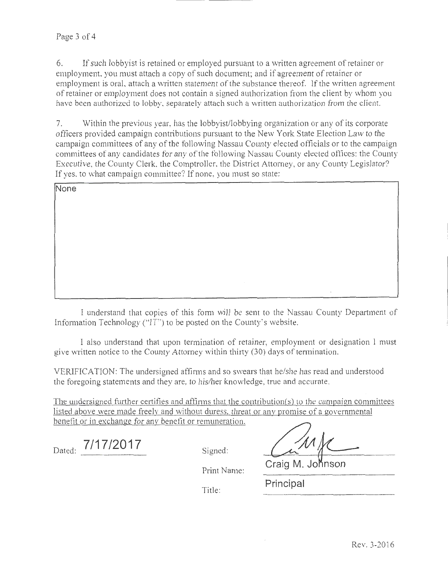6. If such lobbyist is retained or employed pursuant to a written agreement of retainer or employment. you must attach a copy of such document; and if agreement of retainer or employment is oral, attach a written statement of the substance thereof. If the written agreement of retainer or employment does not contain a signed authorization from the client by whom you have been authorized to lobby. separately attach such a written authorization from the client.

7. Within the previous year, has the lobbyist/lobbying organization or any of its corporate otiicers provided campaign contributions pursuant to the New York State Election Law to the campaign committees of any of the following Nassau County elected officials or to the campaign committees of any candidates tor any of the tollowing Nassau County elected offices: the County Executive, the County Clerk. the Comptroller, the District Attorney, or any County Legislator? If yes. to what campaign committee? If none, you must so state:

| None |                  |
|------|------------------|
|      |                  |
|      |                  |
|      |                  |
|      |                  |
|      |                  |
|      | $\sim$<br>$\sim$ |

I understand that copies of this form will be sent to the Nassau County Department of Information Technology ("IT") to be posted on the County's website.

I also understand that upon termination of retainer, employment or designation I must give written notice to the County Attorney within thirty (30) days of termination.

VERIFICATION: The undersigned affirms and so swears that he/she has read and understood the foregoing statements and they are, to his/her knowledge, true and accurate.

The undersigned further certifies and affirms that the contribution( $s$ ) to the campaign committees listed above were made freelv and without duress. threat or anv promise of a governmental benefit or in exchange for any benefit or remuneration.

Dated: **7/17/2017** Signed:

Print Name: **Craig M. Johnson** 

Title: **Principal**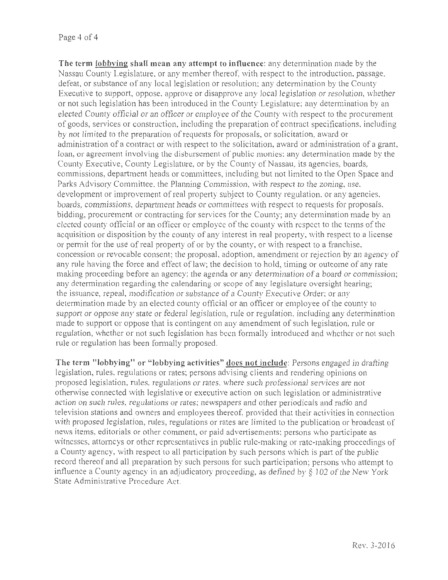## Page 4 of 4

**The term lobbying shall mean any attempt to influence:** any determination made by the Nassau County Legislature, or any member thereof, with respect to the introduction, passage, defeat, or substance of any local legislation or resolution: any determination by the County Executive to support, oppose, approve or disapprove any local legislation or resolution, vihether or not such legislation bas been introduced in the County Legislature; any determination by an elected County official or an officer or employee of the County with respect to the procurement of goods, services or construction, including the preparation of contract specifications, including by not limited to the preparation of requests for proposals, or solicitation, award or administration of a contract or with respect to the solicitation, award or administration of a grant, loan, or agreement involving the disbursement of public monies: any determination made by the County Executive, County Legislature, or by the County of Nassau, its agencies, boards, commissions, department heads or committees, including but not limited to the Open Space and Parks Advisory Committee, the Planning Commission, with respect to the zoning, use. development or improvement of real property subject to County regulation. or any agencies, boards, commissions, department heads or committees with respect to requests for proposals, bidding, procurement or contracting for services for the County; any determination made by an elected county official or an officer or employee of the county with respect to the terms of the acquisition or disposition by the county of any interest in real property, with respect to a license or permit for the use of real property of or by the county, or with respect to a franchise. concession or revocable consent; the proposal, adoption, amendment or rejection by an agency of any rule having the force and effect of law; the decision to hold, timing or outcome of any rate making proceeding before an agency; the agenda or any determination of a board or commission; any determination regarding the calendaring or scope of any legislature oversight hearing; the issuance, repeal, modification or substance of a County Executive Order: or any determination made by an elected county official or an officer or employee of the county to support or oppose any state or federal legislation, rule or regulation, including any determination made to support or oppose that is contingent on any amendment of such legislation, rule or regulation, whether or not such legislation has been formally introduced and whether or not such rule or regulation has been formally proposed.

**The term "lobbying" or "lobbying activities" docs not include:** Persons engaged in drafting legislation, rules, regulations or rates; persons advising clients and rendering opinions on proposed legislation, rules, regulations or rates, \vhere such professional services are not othenvise connected with legislative or executive action on such legislation or administrative action on such rules, regulations or rates; newspapers and other periodicals and radio and television stations and owners and employees thereof, provided that their activities in connection with proposed legislation, rules, regulations or rates are limited to the publication or broadcast of news items, editorials or other comment, or paid advertisements; persons who participate as witnesses, attorneys or other representatives in public rule-making or rate-making proceedings of a County agency, with respect to all participation by such persons which is part of the public record thereof and all preparation by such persons for such participation; persons who attempt to influence a County agency in an adjudicatory proceeding, as defined by § I 02 of the New York State Administrative Procedure Act.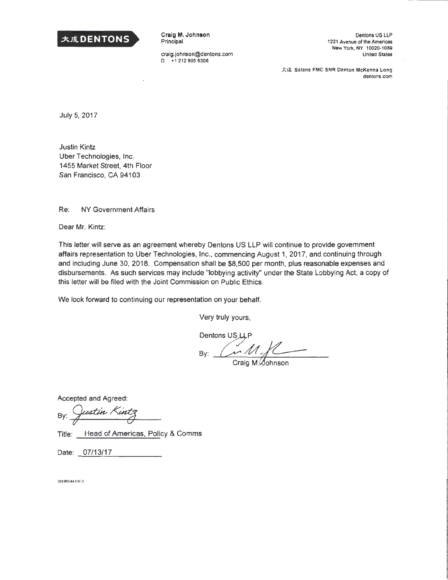

Craig **M.** Johnson Principal

craig.johnson@dentons.com D +12129058306

Oentons US LLP 1221 Avenue of the Americas New Yorx, NY 1 0020-1089 United States

大成 Salans FMC SNR Denton McKenna Long dentons.com

July 5, 2017

Justin Kintz Uber Technologies, Inc. 1455 Market Street, 4th Floor San Francisco, CA 94103

Re: NY Government Affairs

Dear Mr. Kintz:

This letter will serve as an agreement whereby Oentons US LLP will continue to provide government affairs representation to Uber Technologies, Inc., commencing August 1, 2017, and continuing through and including June 30, 2018. Compensation shall be \$8,500 per month, plus reasonable expenses and disbursements. As such services may include "lobbying activity" under the State Lobbying Act, a copy of this letter will be filed with the Joint Commission on Public Ethics.

We look forward to continuing our representation on your behalf.

Very truly yours,

 $By:$   $M/L$ 

Craig M. Cohnson

Accepted and Agreed:

By: Justin Kintz

Title: Head of Americas, Policy & Comms

Date: 07/13/17

 $101991445$ iV-3